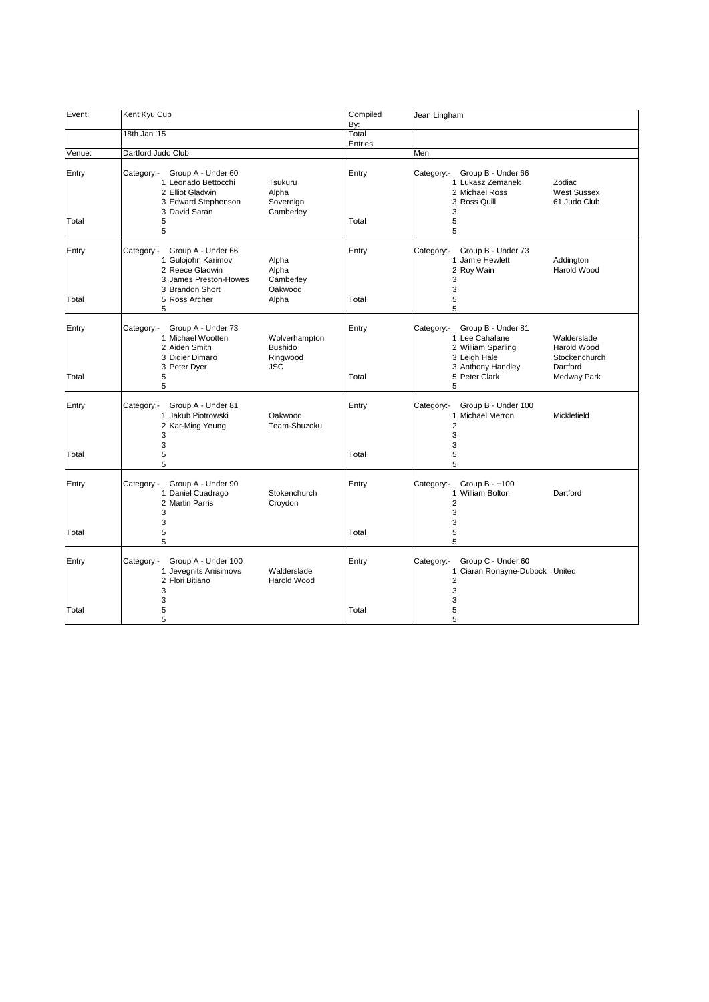| Event:         | Kent Kyu Cup                                                                                                             |                                                           | Compiled<br>By: | Jean Lingham                                                                                                                                                                    |
|----------------|--------------------------------------------------------------------------------------------------------------------------|-----------------------------------------------------------|-----------------|---------------------------------------------------------------------------------------------------------------------------------------------------------------------------------|
|                | 18th Jan '15                                                                                                             |                                                           | Total           |                                                                                                                                                                                 |
|                |                                                                                                                          |                                                           | Entries         |                                                                                                                                                                                 |
| Venue:         | Dartford Judo Club                                                                                                       |                                                           |                 | Men                                                                                                                                                                             |
| Entry<br>Total | Group A - Under 60<br>Category:-<br>1 Leonado Bettocchi<br>2 Elliot Gladwin<br>3 Edward Stephenson<br>3 David Saran<br>5 | Tsukuru<br>Alpha<br>Sovereign<br>Camberley                | Entry<br>Total  | Category:-<br>Group B - Under 66<br>1 Lukasz Zemanek<br>Zodiac<br>2 Michael Ross<br><b>West Sussex</b><br>3 Ross Quill<br>61 Judo Club<br>3<br>5                                |
|                | 5                                                                                                                        |                                                           |                 | 5                                                                                                                                                                               |
| Entry          | Group A - Under 66<br>Category:-<br>1 Gulojohn Karimov<br>2 Reece Gladwin<br>3 James Preston-Howes<br>3 Brandon Short    | Alpha<br>Alpha<br>Camberley<br>Oakwood                    | Entry           | Category:-<br>Group B - Under 73<br>Jamie Hewlett<br>$\mathbf{1}$<br>Addington<br>Harold Wood<br>2 Roy Wain<br>3<br>3                                                           |
| Total          | 5 Ross Archer<br>5                                                                                                       | Alpha                                                     | Total           | 5<br>5                                                                                                                                                                          |
| Entry          | Category:-<br>Group A - Under 73<br>1 Michael Wootten<br>2 Aiden Smith<br>3 Didier Dimaro<br>3 Peter Dyer                | Wolverhampton<br><b>Bushido</b><br>Ringwood<br><b>JSC</b> | Entry           | Category:-<br>Group B - Under 81<br>1 Lee Cahalane<br>Walderslade<br>2 William Sparling<br><b>Harold Wood</b><br>3 Leigh Hale<br>Stockenchurch<br>3 Anthony Handley<br>Dartford |
| Total          | 5<br>5                                                                                                                   |                                                           | Total           | 5 Peter Clark<br>Medway Park<br>5                                                                                                                                               |
| Entry          | Group A - Under 81<br>Category:-<br>1 Jakub Piotrowski<br>2 Kar-Ming Yeung<br>3<br>3                                     | Oakwood<br>Team-Shuzoku                                   | Entry           | Category:-<br>Group B - Under 100<br>1 Michael Merron<br>Micklefield<br>$\overline{2}$<br>3<br>3                                                                                |
| Total          | 5<br>5                                                                                                                   |                                                           | Total           | 5<br>5                                                                                                                                                                          |
| Entry          | Category:-<br>Group A - Under 90<br>1 Daniel Cuadrago<br>2 Martin Parris<br>3                                            | Stokenchurch<br>Croydon                                   | Entry           | Category:-<br>Group B - +100<br>1 William Bolton<br>Dartford<br>$\overline{2}$<br>3                                                                                             |
| Total          | 3<br>5<br>5                                                                                                              |                                                           | Total           | 3<br>5<br>5                                                                                                                                                                     |
| Entry          | Category:-<br>Group A - Under 100<br>1 Jevegnits Anisimovs<br>2 Flori Bitiano<br>3<br>3                                  | Walderslade<br>Harold Wood                                | Entry           | Category:-<br>Group C - Under 60<br>1 Ciaran Ronayne-Dubock United<br>$\overline{\mathbf{c}}$<br>3<br>3                                                                         |
| Total          | 5<br>5                                                                                                                   |                                                           | Total           | 5<br>5                                                                                                                                                                          |